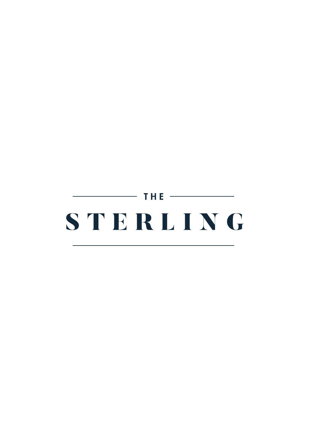# $\overline{\phantom{0}}$  the  $\overline{\phantom{0}}$ STERLING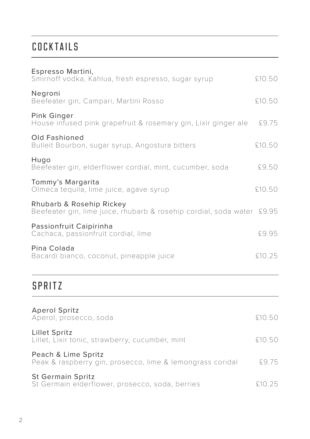## COCKTAILS

| Espresso Martini,<br>Smirnoff vodka, Kahlua, fresh espresso, sugar syrup                           | £10,50 |
|----------------------------------------------------------------------------------------------------|--------|
| Negroni<br>Beefeater gin, Campari, Martini Rosso                                                   | £10.50 |
| Pink Ginger<br>House infused pink grapefruit & rosemary gin, Lixir ginger ale                      | 59.75  |
| Old Fashioned<br>Bulleit Bourbon, sugar syrup, Angostura bitters                                   | £10.50 |
| Hugo<br>Beefeater gin, elderflower cordial, mint, cucumber, soda                                   | £9.50  |
| Tommy's Margarita<br>Olmeca tequila, lime juice, agave syrup                                       | £10.50 |
| Rhubarb & Rosehip Rickey<br>Beefeater gin, lime juice, rhubarb & rosehip cordial, soda water £9.95 |        |
| Passionfruit Caipirinha<br>Cachaca, passionfruit cordial, lime                                     | £9.95  |
| Pina Colada<br>Bacardi bianco, coconut, pineapple juice                                            | £10.25 |
| <b>SPRITZ</b>                                                                                      |        |
| <b>Aperol Spritz</b><br>Aperol, prosecco, soda                                                     | £10.50 |
| Lillet Spritz<br>Lillet, Lixir tonic, strawberry, cucumber, mint                                   | £10.50 |
|                                                                                                    |        |

Peach & Lime Spritz Peak & raspberry gin, prosecco, lime & lemongrass coridal £9.75

| <b>St Germain Spritz</b> |                                                 |  |  |        |
|--------------------------|-------------------------------------------------|--|--|--------|
|                          | St Germain elderflower, prosecco, soda, berries |  |  | £10.25 |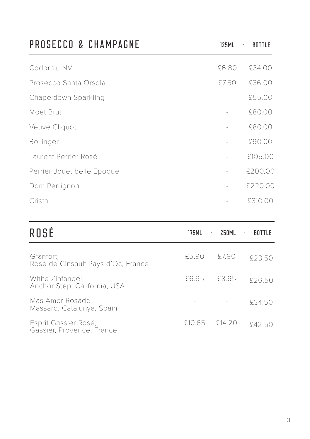| PROSECCO & CHAMPAGNE       | 125ML | <b>BOTTLE</b><br>$\cdot$ |
|----------------------------|-------|--------------------------|
| Codorniu NV                | £6.80 | £34.00                   |
| Prosecco Santa Orsola      | £7.50 | £36.00                   |
| Chapeldown Sparkling       |       | £55.00                   |
| Moet Brut                  |       | £80.00                   |
| Veuve Cliquot              |       | £80.00                   |
| <b>Bollinger</b>           |       | £90.00                   |
| Laurent Perrier Rosé       |       | £105.00                  |
| Perrier Jouet belle Epoque |       | £200.00                  |
| Dom Perrignon              |       | £220.00                  |
| Cristal                    |       | £310.00                  |

| ROSÉ                                              | 175MI  | 250MI<br>$\cdot$ | BU.<br>$\sim$ |
|---------------------------------------------------|--------|------------------|---------------|
| Granfort.<br>Rosé de Cinsault Pays d'Oc, France   | 5590   | 5790             | £23.50        |
| White Zinfandel.<br>Anchor Step, California, USA  | £6.65  | F895             | £26.50        |
| Mas Amor Rosado<br>Massard, Catalunya, Spain      |        |                  | £34.50        |
| Esprit Gassier Rosé,<br>Gassier, Provence, France | £10.65 | - £14.20         | \$42.50       |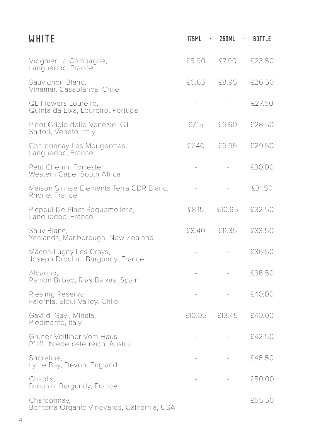| <b>WHITE</b>                                                    | 175ML<br>$\sim$ | 250ML<br>$\sim$ | BOTTLE |
|-----------------------------------------------------------------|-----------------|-----------------|--------|
| Viognier La Campagne,<br>Languedoc, France                      | £5.90           | £7.90           | £23.50 |
| Sauvignon Blanc,<br>Vinamar, Casablanca, Chile                  | £6.65           | £8.95           | £26.50 |
| QL Flowers Loureiro,<br>Quinta da Lixa, Loureiro, Portugal      |                 |                 | £27.50 |
| Pinot Grigio delle Venezie IGT,<br>Sartori, Veneto, Italy       | £7.15           | 59.60           | £28.50 |
| Chardonnay Les Mougeottes,<br>Languedoc, France                 | £7.40           | £9.95           | £29.50 |
| Petit Chenin, Forrester,<br>Western Cape, South Africa          |                 |                 | £30.00 |
| Maison Sinnae Elements Terra CDR Blanc,<br>Rhone, France        |                 |                 | £31.50 |
| Picpoul De Pinet Roquemoliere,<br>Languedoc, France             | £8.15           | £10.95          | £32.50 |
| Sauv Blanc,<br>Yealands, Marlborough, New Zealand               | £8.40           | £11.35          | £33.50 |
| Mâcon-Lugny Les Crays,<br>Joseph Drouhin, Burgundy, France      |                 |                 | £36.50 |
| Albarino,<br>Ramon Bilbao, Rias Baixas, Spain                   |                 |                 | £36.50 |
| Riesling Reserva,<br>Falernia, Elqui Valley, Chile              |                 |                 | £40.00 |
| Gavi di Gavi, Minaia,<br>Piedmonte, Italy                       | £10.05          | £13.45          | £40.00 |
| Gruner Veltliner Vom Haus.<br>Pfaffl, Niederosterreich, Austria |                 |                 | £42.50 |
| Shoreline,<br>Lyme Bay, Devon, England                          |                 |                 | £46.50 |
| Chablis.<br>Drouhin, Burgundy, France                           |                 |                 | £50.00 |
| Chardonnay,<br>Bonterra Organic Vineyards, California, USA      |                 |                 | £55.50 |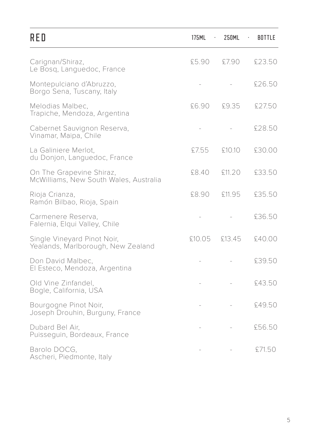| RED                                                                | 175ML<br>$\cdot$ | 250ML  | BOTTLE<br>$\cdot$ |
|--------------------------------------------------------------------|------------------|--------|-------------------|
| Carignan/Shiraz,<br>Le Bosq, Languedoc, France                     | £5.90            | £7.90  | £23.50            |
| Montepulciano d'Abruzzo,<br>Borgo Sena, Tuscany, Italy             |                  |        | £26.50            |
| Melodias Malbec,<br>Trapiche, Mendoza, Argentina                   | £6.90            | £9.35  | £27.50            |
| Cabernet Sauvignon Reserva,<br>Vinamar, Maipa, Chile               |                  |        | £28.50            |
| La Galiniere Merlot,<br>du Donjon, Languedoc, France               | £7.55            | £10.10 | £30.00            |
| On The Grapevine Shiraz,<br>McWilliams, New South Wales, Australia | £8.40            | £11.20 | £33.50            |
| Rioja Crianza,<br>Ramón Bilbao, Rioja, Spain                       | £8.90            | £11.95 | £35.50            |
| Carmenere Reserva,<br>Falernia, Elqui Valley, Chile                |                  |        | £36.50            |
| Single Vineyard Pinot Noir,<br>Yealands, Marlborough, New Zealand  | £10.05           | £13.45 | £40.00            |
| Don David Malbec,<br>El Esteco, Mendoza, Argentina                 |                  |        | £39.50            |
| Old Vine Zinfandel,<br>Bogle, California, USA                      |                  |        | £43.50            |
| Bourgogne Pinot Noir,<br>Joseph Drouhin, Burguny, France           |                  |        | £49.50            |
| Dubard Bel Air,<br>Puisseguin, Bordeaux, France                    |                  |        | £56.50            |
| Barolo DOCG,<br>Ascheri, Piedmonte, Italy                          |                  |        | £71.50            |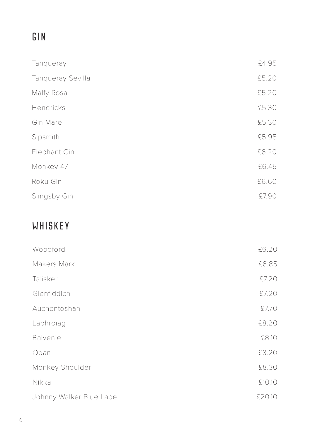# GIN

| Tanqueray         | £4.95 |
|-------------------|-------|
| Tanqueray Sevilla | £5.20 |
| Malfy Rosa        | £5.20 |
| Hendricks         | £5.30 |
| Gin Mare          | £5.30 |
| Sipsmith          | £5.95 |
| Elephant Gin      | £6.20 |
| Monkey 47         | £6.45 |
| Roku Gin          | £6.60 |
| Slingsby Gin      | £7.90 |
|                   |       |

# WHISKEY

| Woodford                 | £6.20  |
|--------------------------|--------|
| Makers Mark              | £6.85  |
| Talisker                 | £7.20  |
| Glenfiddich              | £7.20  |
| Auchentoshan             | £7.70  |
| Laphroiag                | £8.20  |
| <b>Balvenie</b>          | £8.10  |
| Oban                     | £8.20  |
| Monkey Shoulder          | £8.30  |
| Nikka                    | £10.10 |
| Johnny Walker Blue Label | £20.10 |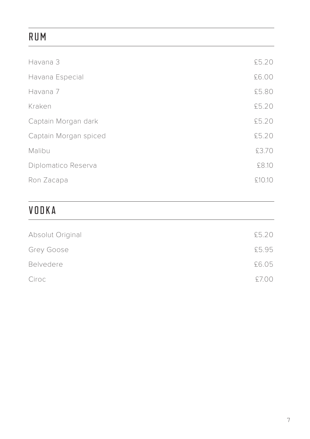# RUM

| Havana 3              | £5.20  |
|-----------------------|--------|
| Havana Especial       | £6.00  |
| Havana 7              | £5.80  |
| Kraken                | £5.20  |
| Captain Morgan dark   | £5.20  |
| Captain Morgan spiced | £5.20  |
| Malibu                | £3.70  |
| Diplomatico Reserva   | £8.10  |
| Ron Zacapa            | £10.10 |
|                       |        |

# VODKA

| Absolut Original | £5.20 |
|------------------|-------|
| Grey Goose       | £5.95 |
| <b>Belvedere</b> | £6.05 |
| Ciroc            | £7.00 |
|                  |       |